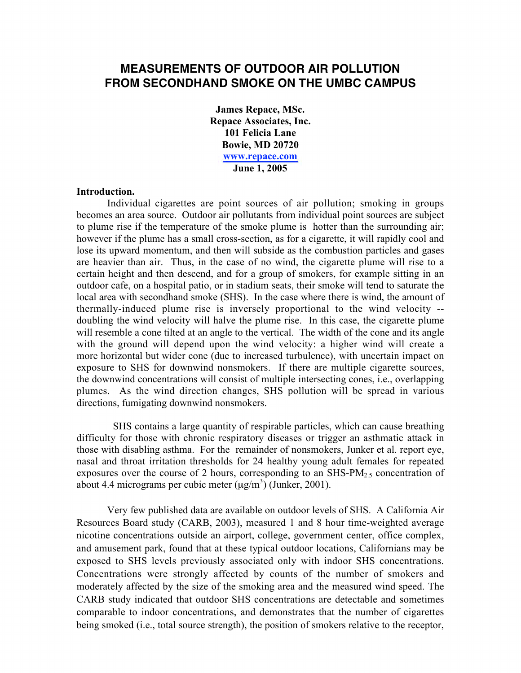# **MEASUREMENTS OF OUTDOOR AIR POLLUTION FROM SECONDHAND SMOKE ON THE UMBC CAMPUS**

James Repace, MSc. Repace Associates, Inc. 101 Felicia Lane Bowie, MD 20720 <www.repace.com> June 1, 2005

#### Introduction.

Individual cigarettes are point sources of air pollution; smoking in groups becomes an area source. Outdoor air pollutants from individual point sources are subject to plume rise if the temperature of the smoke plume is hotter than the surrounding air; however if the plume has a small cross-section, as for a cigarette, it will rapidly cool and lose its upward momentum, and then will subside as the combustion particles and gases are heavier than air. Thus, in the case of no wind, the cigarette plume will rise to a certain height and then descend, and for a group of smokers, for example sitting in an outdoor cafe, on a hospital patio, or in stadium seats, their smoke will tend to saturate the local area with secondhand smoke (SHS). In the case where there is wind, the amount of thermally-induced plume rise is inversely proportional to the wind velocity - doubling the wind velocity will halve the plume rise. In this case, the cigarette plume will resemble a cone tilted at an angle to the vertical. The width of the cone and its angle with the ground will depend upon the wind velocity: a higher wind will create a more horizontal but wider cone (due to increased turbulence), with uncertain impact on exposure to SHS for downwind nonsmokers. If there are multiple cigarette sources, the downwind concentrations will consist of multiple intersecting cones, i.e., overlapping plumes. As the wind direction changes, SHS pollution will be spread in various directions, fumigating downwind nonsmokers.

SHS contains a large quantity of respirable particles, which can cause breathing difficulty for those with chronic respiratory diseases or trigger an asthmatic attack in those with disabling asthma. For the remainder of nonsmokers, Junker et al. report eye, nasal and throat irritation thresholds for 24 healthy young adult females for repeated exposures over the course of 2 hours, corresponding to an SHS-PM $_{2.5}$  concentration of about 4.4 micrograms per cubic meter  $(\mu g/m^3)$  (Junker, 2001).

Very few published data are available on outdoor levels of SHS. A California Air Resources Board study (CARB, 2003), measured 1 and 8 hour time-weighted average nicotine concentrations outside an airport, college, government center, office complex, and amusement park, found that at these typical outdoor locations, Californians may be exposed to SHS levels previously associated only with indoor SHS concentrations. Concentrations were strongly affected by counts of the number of smokers and moderately affected by the size of the smoking area and the measured wind speed. The CARB study indicated that outdoor SHS concentrations are detectable and sometimes comparable to indoor concentrations, and demonstrates that the number of cigarettes being smoked (i.e., total source strength), the position of smokers relative to the receptor,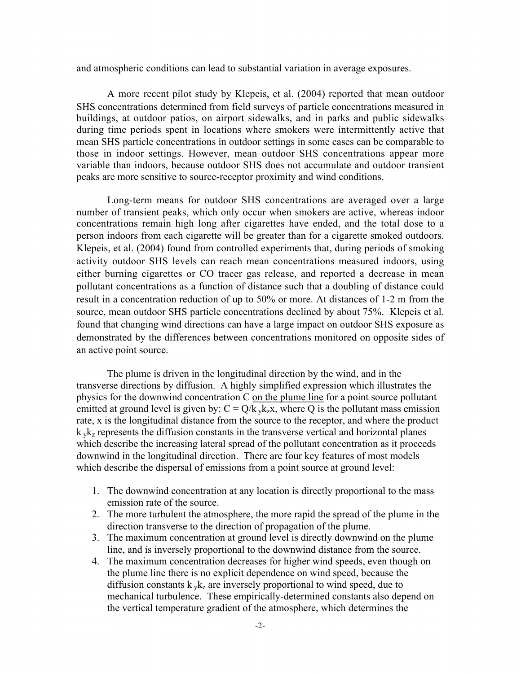and atmospheric conditions can lead to substantial variation in average exposures.

A more recent pilot study by Klepeis, et al. (2004) reported that mean outdoor SHS concentrations determined from field surveys of particle concentrations measured in buildings, at outdoor patios, on airport sidewalks, and in parks and public sidewalks during time periods spent in locations where smokers were intermittently active that mean SHS particle concentrations in outdoor settings in some cases can be comparable to those in indoor settings. However, mean outdoor SHS concentrations appear more variable than indoors, because outdoor SHS does not accumulate and outdoor transient peaks are more sensitive to source-receptor proximity and wind conditions.

Long-term means for outdoor SHS concentrations are averaged over a large number of transient peaks, which only occur when smokers are active, whereas indoor concentrations remain high long after cigarettes have ended, and the total dose to a person indoors from each cigarette will be greater than for a cigarette smoked outdoors. Klepeis, et al. (2004) found from controlled experiments that, during periods of smoking activity outdoor SHS levels can reach mean concentrations measured indoors, using either burning cigarettes or CO tracer gas release, and reported a decrease in mean pollutant concentrations as a function of distance such that a doubling of distance could result in a concentration reduction of up to 50% or more. At distances of 1-2 m from the source, mean outdoor SHS particle concentrations declined by about 75%. Klepeis et al. found that changing wind directions can have a large impact on outdoor SHS exposure as demonstrated by the differences between concentrations monitored on opposite sides of an active point source.

The plume is driven in the longitudinal direction by the wind, and in the transverse directions by diffusion. A highly simplified expression which illustrates the physics for the downwind concentration C on the plume line for a point source pollutant emitted at ground level is given by:  $C = Q/k_yk_zx$ , where Q is the pollutant mass emission rate, x is the longitudinal distance from the source to the receptor, and where the product  $k_yk_z$  represents the diffusion constants in the transverse vertical and horizontal planes which describe the increasing lateral spread of the pollutant concentration as it proceeds downwind in the longitudinal direction. There are four key features of most models which describe the dispersal of emissions from a point source at ground level:

- 1. The downwind concentration at any location is directly proportional to the mass emission rate of the source.
- 2. The more turbulent the atmosphere, the more rapid the spread of the plume in the direction transverse to the direction of propagation of the plume.
- 3. The maximum concentration at ground level is directly downwind on the plume line, and is inversely proportional to the downwind distance from the source.
- 4. The maximum concentration decreases for higher wind speeds, even though on the plume line there is no explicit dependence on wind speed, because the diffusion constants  $k_y k_z$  are inversely proportional to wind speed, due to mechanical turbulence. These empirically-determined constants also depend on the vertical temperature gradient of the atmosphere, which determines the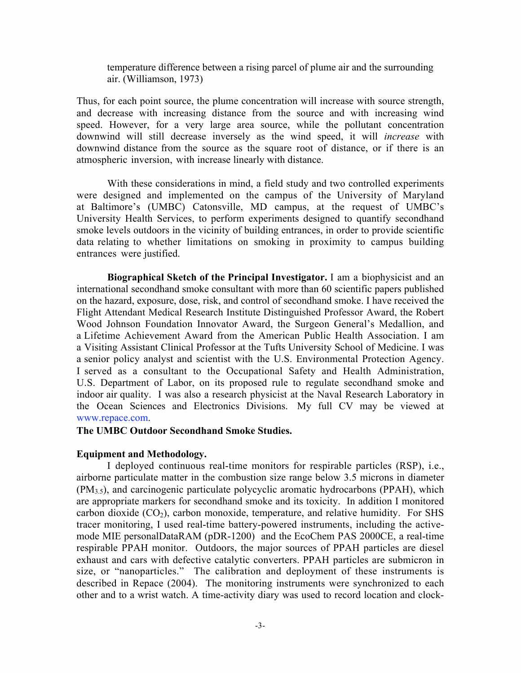temperature difference between a rising parcel of plume air and the surrounding air. (Williamson, 1973)

Thus, for each point source, the plume concentration will increase with source strength, and decrease with increasing distance from the source and with increasing wind speed. However, for a very large area source, while the pollutant concentration downwind will still decrease inversely as the wind speed, it will *increase* with downwind distance from the source as the square root of distance, or if there is an atmospheric inversion, with increase linearly with distance.

With these considerations in mind, a field study and two controlled experiments were designed and implemented on the campus of the University of Maryland at Baltimore's (UMBC) Catonsville, MD campus, at the request of UMBC's University Health Services, to perform experiments designed to quantify secondhand smoke levels outdoors in the vicinity of building entrances, in order to provide scientific data relating to whether limitations on smoking in proximity to campus building entrances were justified.

Biographical Sketch of the Principal Investigator. I am a biophysicist and an international secondhand smoke consultant with more than 60 scientific papers published on the hazard, exposure, dose, risk, and control of secondhand smoke. I have received the Flight Attendant Medical Research Institute Distinguished Professor Award, the Robert Wood Johnson Foundation Innovator Award, the Surgeon General's Medallion, and a Lifetime Achievement Award from the American Public Health Association. I am a Visiting Assistant Clinical Professor at the Tufts University School of Medicine. I was a senior policy analyst and scientist with the U.S. Environmental Protection Agency. I served as a consultant to the Occupational Safety and Health Administration, U.S. Department of Labor, on its proposed rule to regulate secondhand smoke and indoor air quality. I was also a research physicist at the Naval Research Laboratory in the Ocean Sciences and Electronics Divisions. My full CV may be viewed at <www.repace.com>.

### The UMBC Outdoor Secondhand Smoke Studies.

#### Equipment and Methodology.

I deployed continuous real-time monitors for respirable particles (RSP), i.e., airborne particulate matter in the combustion size range below 3.5 microns in diameter (PM3.5), and carcinogenic particulate polycyclic aromatic hydrocarbons (PPAH), which are appropriate markers for secondhand smoke and its toxicity. In addition I monitored carbon dioxide  $(CO_2)$ , carbon monoxide, temperature, and relative humidity. For SHS tracer monitoring, I used real-time battery-powered instruments, including the activemode MIE personalDataRAM (pDR-1200) and the EcoChem PAS 2000CE, a real-time respirable PPAH monitor. Outdoors, the major sources of PPAH particles are diesel exhaust and cars with defective catalytic converters. PPAH particles are submicron in size, or "nanoparticles." The calibration and deployment of these instruments is described in Repace (2004). The monitoring instruments were synchronized to each other and to a wrist watch. A time-activity diary was used to record location and clock-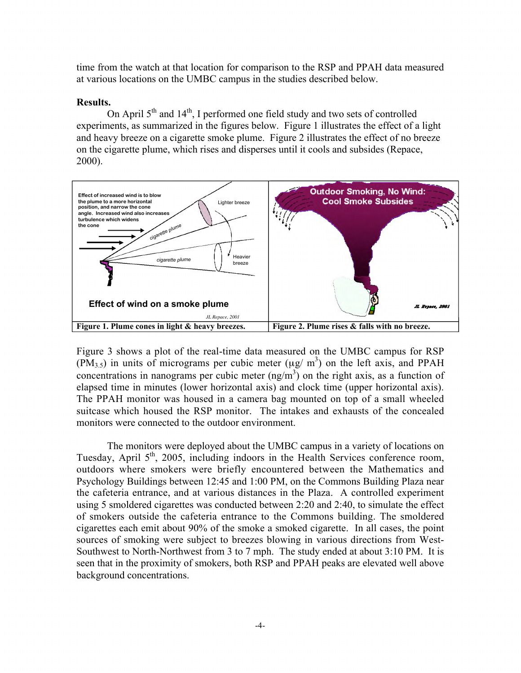time from the watch at that location for comparison to the RSP and PPAH data measured at various locations on the UMBC campus in the studies described below.

### Results.

On April  $5<sup>th</sup>$  and  $14<sup>th</sup>$ , I performed one field study and two sets of controlled experiments, as summarized in the figures below. Figure 1 illustrates the effect of a light and heavy breeze on a cigarette smoke plume. Figure 2 illustrates the effect of no breeze on the cigarette plume, which rises and disperses until it cools and subsides (Repace, 2000).



Figure 3 shows a plot of the real-time data measured on the UMBC campus for RSP  $(PM<sub>3.5</sub>)$  in units of micrograms per cubic meter ( $\mu$ g/ m<sup>3</sup>) on the left axis, and PPAH concentrations in nanograms per cubic meter  $(ng/m<sup>3</sup>)$  on the right axis, as a function of elapsed time in minutes (lower horizontal axis) and clock time (upper horizontal axis). The PPAH monitor was housed in a camera bag mounted on top of a small wheeled suitcase which housed the RSP monitor. The intakes and exhausts of the concealed monitors were connected to the outdoor environment.

The monitors were deployed about the UMBC campus in a variety of locations on Tuesday, April 5<sup>th</sup>, 2005, including indoors in the Health Services conference room, outdoors where smokers were briefly encountered between the Mathematics and Psychology Buildings between 12:45 and 1:00 PM, on the Commons Building Plaza near the cafeteria entrance, and at various distances in the Plaza. A controlled experiment using 5 smoldered cigarettes was conducted between 2:20 and 2:40, to simulate the effect of smokers outside the cafeteria entrance to the Commons building. The smoldered cigarettes each emit about 90% of the smoke a smoked cigarette. In all cases, the point sources of smoking were subject to breezes blowing in various directions from West-Southwest to North-Northwest from 3 to 7 mph. The study ended at about 3:10 PM. It is seen that in the proximity of smokers, both RSP and PPAH peaks are elevated well above background concentrations.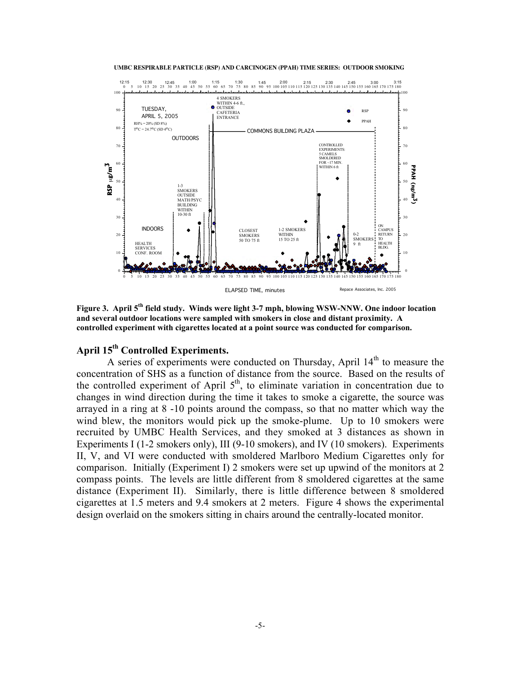



Figure 3. April 5<sup>th</sup> field study. Winds were light 3-7 mph, blowing WSW-NNW. One indoor location and several outdoor locations were sampled with smokers in close and distant proximity. A controlled experiment with cigarettes located at a point source was conducted for comparison.

## April 15<sup>th</sup> Controlled Experiments.

A series of experiments were conducted on Thursday, April  $14<sup>th</sup>$  to measure the concentration of SHS as a function of distance from the source. Based on the results of the controlled experiment of April  $5<sup>th</sup>$ , to eliminate variation in concentration due to changes in wind direction during the time it takes to smoke a cigarette, the source was arrayed in a ring at 8 -10 points around the compass, so that no matter which way the wind blew, the monitors would pick up the smoke-plume. Up to 10 smokers were recruited by UMBC Health Services, and they smoked at 3 distances as shown in Experiments I (1-2 smokers only), III (9-10 smokers), and IV (10 smokers). Experiments II, V, and VI were conducted with smoldered Marlboro Medium Cigarettes only for comparison. Initially (Experiment I) 2 smokers were set up upwind of the monitors at 2 compass points. The levels are little different from 8 smoldered cigarettes at the same distance (Experiment II). Similarly, there is little difference between 8 smoldered cigarettes at 1.5 meters and 9.4 smokers at 2 meters. Figure 4 shows the experimental design overlaid of the smokers sitting in the smokers sitting in the smokers sitting in the smokers sitting in the smokers sitting in the smokers sitting in the smokers sitting in the smokers sitting in the smokers of expe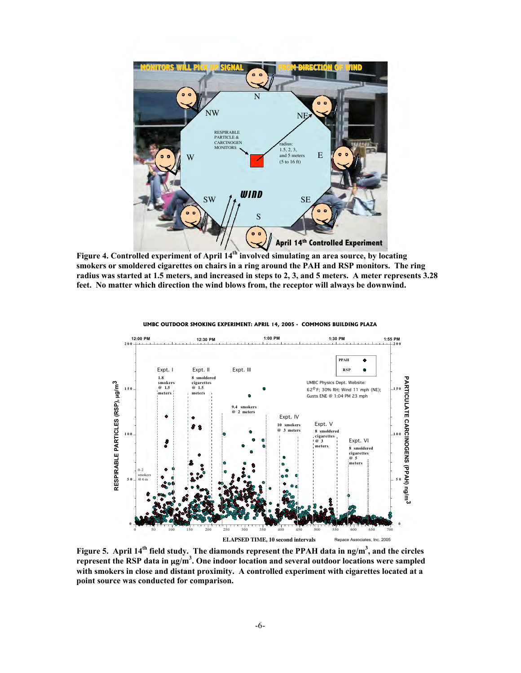

Figure 4. Controlled experiment of April 14<sup>th</sup> involved simulating an area source, by locating smokers or smoldered cigarettes on chairs in a ring around the PAH and RSP monitors. The ring radius was started at 1.5 meters, and increased in steps to 2, 3, and 5 meters. A meter represents 3.28 feet. No matter which direction the wind blows from, the receptor will always be downwind.



**UMBC OUTDOOR SMOKING EXPERIMENT: APRIL 14, 2005 - COMMONS BUILDING PLAZA** 

Figure 5. April 14<sup>th</sup> field study. The diamonds represent the PPAH data in ng/m<sup>3</sup>, and the circles represent the RSP data in  $\mu$ g/m<sup>3</sup>. One indoor location and several outdoor locations were sampled with smokers in close and distant proximity. A controlled experiment with cigarettes located at a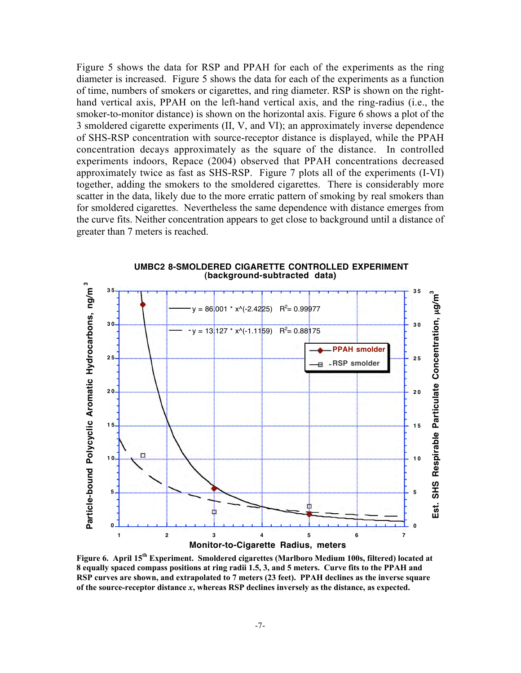Figure 5 shows the data for RSP and PPAH for each of the experiments as the ring diameter is increased. Figure 5 shows the data for each of the experiments as a function of time, numbers of smokers or cigarettes, and ring diameter. RSP is shown on the righthand vertical axis, PPAH on the left-hand vertical axis, and the ring-radius (i.e., the smoker-to-monitor distance) is shown on the horizontal axis. Figure 6 shows a plot of the 3 smoldered cigarette experiments (II, V, and VI); an approximately inverse dependence of SHS-RSP concentration with source-receptor distance is displayed, while the PPAH concentration decays approximately as the square of the distance. In controlled experiments indoors, Repace (2004) observed that PPAH concentrations decreased approximately twice as fast as SHS-RSP. Figure 7 plots all of the experiments (I-VI) together, adding the smokers to the smoldered cigarettes. There is considerably more scatter in the data, likely due to the more erratic pattern of smoking by real smokers than for smoldered cigarettes. Nevertheless the same dependence with distance emerges from the curve fits. Neither concentration appears to get close to background until a distance of greater than 7 meters is reached.



**UMBC2 8-SMOLDERED CIGARETTE CONTROLLED EXPERIMENT (background-subtracted data)** 

Figure 6. April 15<sup>th</sup> Experiment. Smoldered cigarettes (Marlboro Medium 100s, filtered) located at 8 equally spaced compass positions at ring radii 1.5, 3, and 5 meters. Curve fits to the PPAH and RSP curves are shown, and extrapolated to 7 meters (23 feet). PPAH declines as the inverse square of the source-receptor distance *x*, whereas RSP declines inversely as the distance, as expected.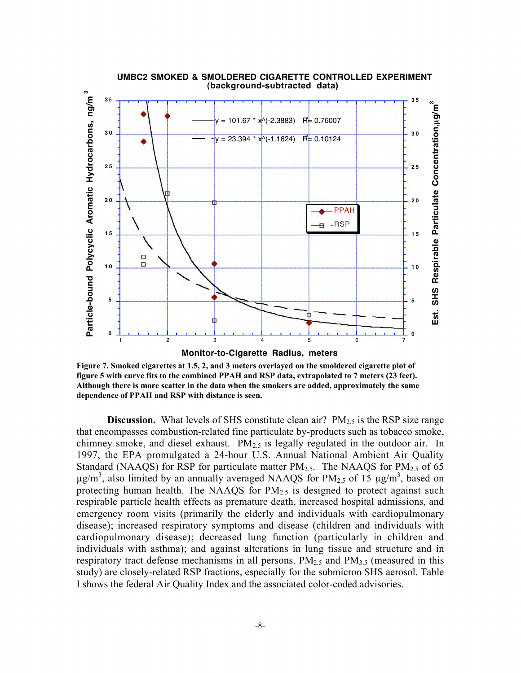

#### **UMBC2 SMOKED & SMOLDERED CIGARETTE CONTROLLED EXPERIMENT (background-subtracted data)**

Figure 7. Smoked cigarettes at 1.5, 2, and 3 meters overlayed on the smoldered cigarette plot of figure 5 with curve fits to the combined PPAH and RSP data, extrapolated to 7 meters (23 feet). Although there is more scatter in the data when the smokers are added, approximately the same dependence of PPAH and RSP with distance is seen.

**Discussion.** What levels of SHS constitute clean air?  $PM_{2.5}$  is the RSP size range that encompasses combustion-related fine particulate by-products such as tobacco smoke, chimney smoke, and diesel exhaust.  $PM_{2.5}$  is legally regulated in the outdoor air. In 1997, the EPA promulgated a 24-hour U.S. Annual National Ambient Air Quality Standard (NAAQS) for RSP for particulate matter  $PM_{2.5}$ . The NAAQS for  $PM_{2.5}$  of 65  $\mu$ g/m<sup>3</sup>, also limited by an annually averaged NAAQS for PM<sub>2.5</sub> of 15  $\mu$ g/m<sup>3</sup>, based on protecting human health. The NAAQS for  $PM<sub>2.5</sub>$  is designed to protect against such respirable particle health effects as premature death, increased hospital admissions, and emergency room visits (primarily the elderly and individuals with cardiopulmonary disease); increased respiratory symptoms and disease (children and individuals with cardiopulmonary disease); decreased lung function (particularly in children and individuals with asthma); and against alterations in lung tissue and structure and in respiratory tract defense mechanisms in all persons.  $PM_{2.5}$  and  $PM_{3.5}$  (measured in this study) are closely-related RSP fractions, especially for the submicron SHS aerosol. Table I shows the federal Air Quality Index and the associated color-coded advisories.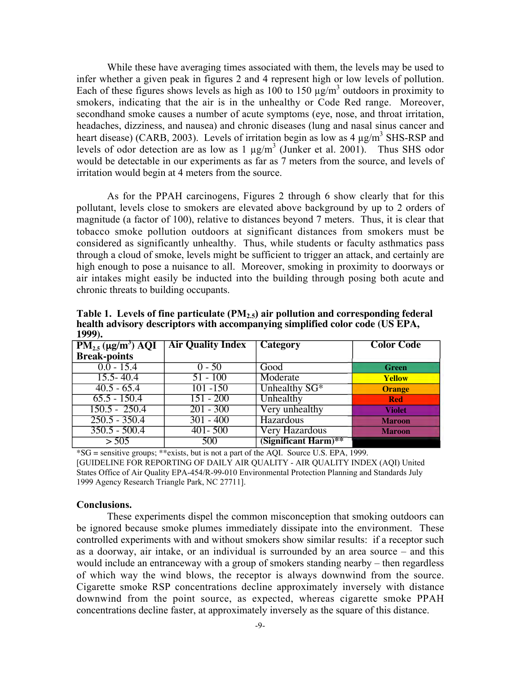While these have averaging times associated with them, the levels may be used to infer whether a given peak in figures 2 and 4 represent high or low levels of pollution. Each of these figures shows levels as high as 100 to 150  $\mu$ g/m<sup>3</sup> outdoors in proximity to smokers, indicating that the air is in the unhealthy or Code Red range. Moreover, secondhand smoke causes a number of acute symptoms (eye, nose, and throat irritation, headaches, dizziness, and nausea) and chronic diseases (lung and nasal sinus cancer and heart disease) (CARB, 2003). Levels of irritation begin as low as  $4 \mu g/m^3$  SHS-RSP and levels of odor detection are as low as  $1 \mu g/m^3$  (Junker et al. 2001). Thus SHS odor would be detectable in our experiments as far as 7 meters from the source, and levels of irritation would begin at 4 meters from the source.

As for the PPAH carcinogens, Figures 2 through 6 show clearly that for this pollutant, levels close to smokers are elevated above background by up to 2 orders of magnitude (a factor of 100), relative to distances beyond 7 meters. Thus, it is clear that tobacco smoke pollution outdoors at significant distances from smokers must be considered as significantly unhealthy. Thus, while students or faculty asthmatics pass through a cloud of smoke, levels might be sufficient to trigger an attack, and certainly are high enough to pose a nuisance to all. Moreover, smoking in proximity to doorways or air intakes might easily be inducted into the building through posing both acute and chronic threats to building occupants.

| 1////                                 |                          |                      |                   |
|---------------------------------------|--------------------------|----------------------|-------------------|
| $PM_{2.5} (\mu g/m^3) \overline{AQI}$ | <b>Air Quality Index</b> | Category             | <b>Color Code</b> |
| <b>Break-points</b>                   |                          |                      |                   |
| $0.0 - 15.4$                          | $0 - 50$                 | Good                 | <b>Green</b>      |
| $15.5 - 40.4$                         | $51 - 100$               | Moderate             | Yellow            |
| $40.5 - 65.4$                         | $101 - 150$              | Unhealthy $SG*$      | <b>Orange</b>     |
| $65.5 - 150.4$                        | $151 - 200$              | Unhealthy            | <b>Red</b>        |
| $150.5 - 250.4$                       | $201 - 300$              | Very unhealthy       | <b>Violet</b>     |
| $250.5 - 350.4$                       | $301 - 400$              | Hazardous            | <b>Maroon</b>     |
| $350.5 - 500.4$                       | $401 - 500$              | Very Hazardous       | <b>Maroon</b>     |
| > 505                                 | 500                      | (Significant Harm)** |                   |

Table 1. Levels of fine particulate (PM2.5) air pollution **and corresponding federal health advisory descriptors with accompanying simplified color code (US EPA, 1999).**

\*SG = sensitive groups; \*\*exists, but is not a part of the AQI. Source U.S. EPA, 1999. [GUIDELINE FOR REPORTING OF DAILY AIR QUALITY - AIR QUALITY INDEX (AQI) United States Office of Air Quality EPA-454/R-99-010 Environmental Protection Planning and Standards July 1999 Agency Research Triangle Park, NC 27711].

#### Conclusions.

These experiments dispel the common misconception that smoking outdoors can be ignored because smoke plumes immediately dissipate into the environment. These controlled experiments with and without smokers show similar results: if a receptor such as a doorway, air intake, or an individual is surrounded by an area source – and this would include an entranceway with a group of smokers standing nearby – then regardless of which way the wind blows, the receptor is always downwind from the source. Cigarette smoke RSP concentrations decline approximately inversely with distance downwind from the point source, as expected, whereas cigarette smoke PPAH concentrations decline faster, at approximately inversely as the square of this distance.